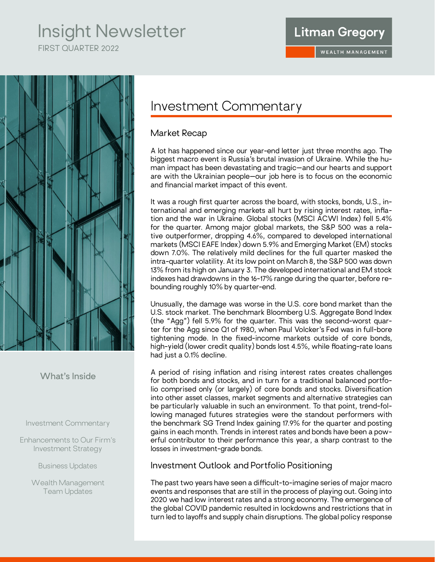# Insight Newsletter

FIRST QUARTER 2022

### **Litman Gregory**



### **What's Inside**

Investment Commentary

Enhancements to Our Firm's Investment Strategy

Business Updates

Wealth Management Team Updates

# Investment Commentary

### Market Recap

A lot has happened since our year-end letter just three months ago. The biggest macro event is Russia's brutal invasion of Ukraine. While the human impact has been devastating and tragic—and our hearts and support are with the Ukrainian people—our job here is to focus on the economic and financial market impact of this event.

It was a rough first quarter across the board, with stocks, bonds, U.S., international and emerging markets all hurt by rising interest rates, inflation and the war in Ukraine. Global stocks (MSCI ACWI Index) fell 5.4% for the quarter. Among major global markets, the S&P 500 was a relative outperformer, dropping 4.6%, compared to developed international markets (MSCI EAFE Index) down 5.9% and Emerging Market (EM) stocks down 7.0%. The relatively mild declines for the full quarter masked the intra-quarter volatility. At its low point on March 8, the S&P 500 was down 13% from its high on January 3. The developed international and EM stock indexes had drawdowns in the 16-17% range during the quarter, before rebounding roughly 10% by quarter-end.

Unusually, the damage was worse in the U.S. core bond market than the U.S. stock market. The benchmark Bloomberg U.S. Aggregate Bond Index (the "Agg") fell 5.9% for the quarter. This was the second-worst quarter for the Agg since Q1 of 1980, when Paul Volcker's Fed was in full-bore tightening mode. In the fixed-income markets outside of core bonds, high-yield (lower credit quality) bonds lost 4.5%, while floating-rate loans had just a 0.1% decline.

A period of rising inflation and rising interest rates creates challenges for both bonds and stocks, and in turn for a traditional balanced portfolio comprised only (or largely) of core bonds and stocks. Diversification into other asset classes, market segments and alternative strategies can be particularly valuable in such an environment. To that point, trend-following managed futures strategies were the standout performers with the benchmark SG Trend Index gaining 17.9% for the quarter and posting gains in each month. Trends in interest rates and bonds have been a powerful contributor to their performance this year, a sharp contrast to the losses in investment-grade bonds.

### Investment Outlook and Portfolio Positioning

The past two years have seen a difficult-to-imagine series of major macro events and responses that are still in the process of playing out. Going into 2020 we had low interest rates and a strong economy. The emergence of the global COVID pandemic resulted in lockdowns and restrictions that in turn led to layoffs and supply chain disruptions. The global policy response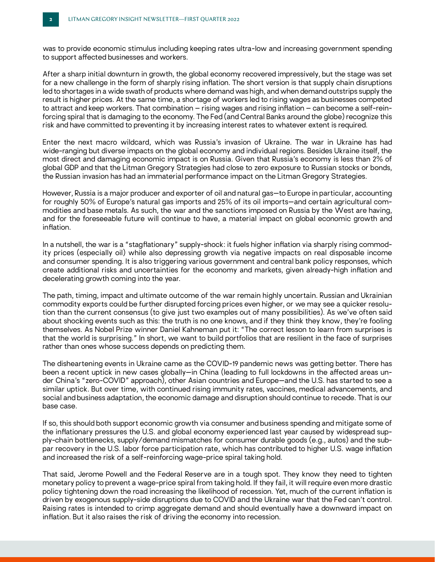was to provide economic stimulus including keeping rates ultra-low and increasing government spending to support affected businesses and workers.

After a sharp initial downturn in growth, the global economy recovered impressively, but the stage was set for a new challenge in the form of sharply rising inflation. The short version is that supply chain disruptions led to shortages in a wide swath of products where demand was high, and when demand outstrips supply the result is higher prices. At the same time, a shortage of workers led to rising wages as businesses competed to attract and keep workers. That combination – rising wages and rising inflation – can become a self-reinforcing spiral that is damaging to the economy. The Fed (and Central Banks around the globe) recognize this risk and have committed to preventing it by increasing interest rates to whatever extent is required.

Enter the next macro wildcard, which was Russia's invasion of Ukraine. The war in Ukraine has had wide-ranging but diverse impacts on the global economy and individual regions. Besides Ukraine itself, the most direct and damaging economic impact is on Russia. Given that Russia's economy is less than 2% of global GDP and that the Litman Gregory Strategies had close to zero exposure to Russian stocks or bonds, the Russian invasion has had an immaterial performance impact on the Litman Gregory Strategies.

However, Russia is a major producer and exporter of oil and natural gas—to Europe in particular, accounting for roughly 50% of Europe's natural gas imports and 25% of its oil imports—and certain agricultural commodities and base metals. As such, the war and the sanctions imposed on Russia by the West are having, and for the foreseeable future will continue to have, a material impact on global economic growth and inflation.

In a nutshell, the war is a "stagflationary" supply-shock: it fuels higher inflation via sharply rising commodity prices (especially oil) while also depressing growth via negative impacts on real disposable income and consumer spending. It is also triggering various government and central bank policy responses, which create additional risks and uncertainties for the economy and markets, given already-high inflation and decelerating growth coming into the year.

The path, timing, impact and ultimate outcome of the war remain highly uncertain. Russian and Ukrainian commodity exports could be further disrupted forcing prices even higher, or we may see a quicker resolution than the current consensus (to give just two examples out of many possibilities). As we've often said about shocking events such as this: the truth is no one knows, and if they think they know, they're fooling themselves. As Nobel Prize winner Daniel Kahneman put it: "The correct lesson to learn from surprises is that the world is surprising." In short, we want to build portfolios that are resilient in the face of surprises rather than ones whose success depends on predicting them.

The disheartening events in Ukraine came as the COVID-19 pandemic news was getting better. There has been a recent uptick in new cases globally—in China (leading to full lockdowns in the affected areas under China's "zero-COVID" approach), other Asian countries and Europe—and the U.S. has started to see a similar uptick. But over time, with continued rising immunity rates, vaccines, medical advancements, and social and business adaptation, the economic damage and disruption should continue to recede. That is our base case.

If so, this should both support economic growth via consumer and business spending and mitigate some of the inflationary pressures the U.S. and global economy experienced last year caused by widespread supply-chain bottlenecks, supply/demand mismatches for consumer durable goods (e.g., autos) and the subpar recovery in the U.S. labor force participation rate, which has contributed to higher U.S. wage inflation and increased the risk of a self-reinforcing wage-price spiral taking hold.

That said, Jerome Powell and the Federal Reserve are in a tough spot. They know they need to tighten monetary policy to prevent a wage-price spiral from taking hold. If they fail, it will require even more drastic policy tightening down the road increasing the likelihood of recession. Yet, much of the current inflation is driven by exogenous supply-side disruptions due to COVID and the Ukraine war that the Fed can't control. Raising rates is intended to crimp aggregate demand and should eventually have a downward impact on inflation. But it also raises the risk of driving the economy into recession.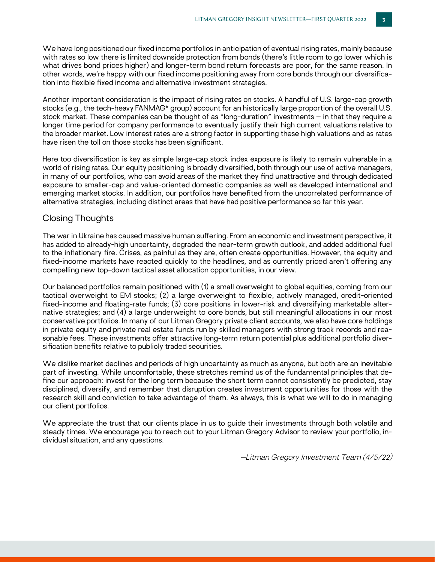We have long positioned our fixed income portfolios in anticipation of eventual rising rates, mainly because with rates so low there is limited downside protection from bonds (there's little room to go lower which is what drives bond prices higher) and longer-term bond return forecasts are poor, for the same reason. In other words, we're happy with our fixed income positioning away from core bonds through our diversification into flexible fixed income and alternative investment strategies.

Another important consideration is the impact of rising rates on stocks. A handful of U.S. large-cap growth stocks (e.g., the tech-heavy FANMAG\* group) account for an historically large proportion of the overall U.S. stock market. These companies can be thought of as "long-duration" investments – in that they require a longer time period for company performance to eventually justify their high current valuations relative to the broader market. Low interest rates are a strong factor in supporting these high valuations and as rates have risen the toll on those stocks has been significant.

Here too diversification is key as simple large-cap stock index exposure is likely to remain vulnerable in a world of rising rates. Our equity positioning is broadly diversified, both through our use of active managers, in many of our portfolios, who can avoid areas of the market they find unattractive and through dedicated exposure to smaller-cap and value-oriented domestic companies as well as developed international and emerging market stocks. In addition, our portfolios have benefited from the uncorrelated performance of alternative strategies, including distinct areas that have had positive performance so far this year.

#### Closing Thoughts

The war in Ukraine has caused massive human suffering. From an economic and investment perspective, it has added to already-high uncertainty, degraded the near-term growth outlook, and added additional fuel to the inflationary fire. Crises, as painful as they are, often create opportunities. However, the equity and fixed-income markets have reacted quickly to the headlines, and as currently priced aren't offering any compelling new top-down tactical asset allocation opportunities, in our view.

Our balanced portfolios remain positioned with (1) a small overweight to global equities, coming from our tactical overweight to EM stocks; (2) a large overweight to flexible, actively managed, credit-oriented fixed-income and floating-rate funds; (3) core positions in lower-risk and diversifying marketable alternative strategies; and (4) a large underweight to core bonds, but still meaningful allocations in our most conservative portfolios. In many of our Litman Gregory private client accounts, we also have core holdings in private equity and private real estate funds run by skilled managers with strong track records and reasonable fees. These investments offer attractive long-term return potential plus additional portfolio diversification benefits relative to publicly traded securities.

We dislike market declines and periods of high uncertainty as much as anyone, but both are an inevitable part of investing. While uncomfortable, these stretches remind us of the fundamental principles that define our approach: invest for the long term because the short term cannot consistently be predicted, stay disciplined, diversify, and remember that disruption creates investment opportunities for those with the research skill and conviction to take advantage of them. As always, this is what we will to do in managing our client portfolios.

We appreciate the trust that our clients place in us to guide their investments through both volatile and steady times. We encourage you to reach out to your Litman Gregory Advisor to review your portfolio, individual situation, and any questions.

—Litman Gregory Investment Team (4/5/22)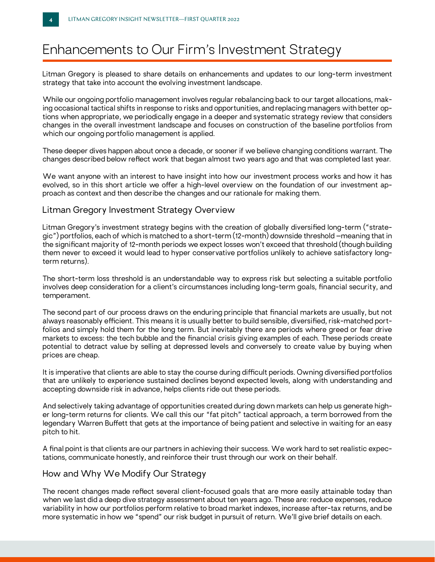# Enhancements to Our Firm's Investment Strategy

Litman Gregory is pleased to share details on enhancements and updates to our long-term investment strategy that take into account the evolving investment landscape.

While our ongoing portfolio management involves regular rebalancing back to our target allocations, making occasional tactical shifts in response to risks and opportunities, and replacing managers with better options when appropriate, we periodically engage in a deeper and systematic strategy review that considers changes in the overall investment landscape and focuses on construction of the baseline portfolios from which our ongoing portfolio management is applied.

These deeper dives happen about once a decade, or sooner if we believe changing conditions warrant. The changes described below reflect work that began almost two years ago and that was completed last year.

We want anyone with an interest to have insight into how our investment process works and how it has evolved, so in this short article we offer a high-level overview on the foundation of our investment approach as context and then describe the changes and our rationale for making them.

#### Litman Gregory Investment Strategy Overview

Litman Gregory's investment strategy begins with the creation of globally diversified long-term ("strategic") portfolios, each of which is matched to a short-term (12-month) downside threshold –meaning that in the significant majority of 12-month periods we expect losses won't exceed that threshold (though building them never to exceed it would lead to hyper conservative portfolios unlikely to achieve satisfactory longterm returns).

The short-term loss threshold is an understandable way to express risk but selecting a suitable portfolio involves deep consideration for a client's circumstances including long-term goals, financial security, and temperament.

The second part of our process draws on the enduring principle that financial markets are usually, but not always reasonably efficient. This means it is usually better to build sensible, diversified, risk-matched portfolios and simply hold them for the long term. But inevitably there are periods where greed or fear drive markets to excess: the tech bubble and the financial crisis giving examples of each. These periods create potential to detract value by selling at depressed levels and conversely to create value by buying when prices are cheap.

It is imperative that clients are able to stay the course during difficult periods. Owning diversified portfolios that are unlikely to experience sustained declines beyond expected levels, along with understanding and accepting downside risk in advance, helps clients ride out these periods.

And selectively taking advantage of opportunities created during down markets can help us generate higher long-term returns for clients. We call this our "fat pitch" tactical approach, a term borrowed from the legendary Warren Buffett that gets at the importance of being patient and selective in waiting for an easy pitch to hit.

A final point is that clients are our partners in achieving their success. We work hard to set realistic expectations, communicate honestly, and reinforce their trust through our work on their behalf.

#### How and Why We Modify Our Strategy

The recent changes made reflect several client-focused goals that are more easily attainable today than when we last did a deep dive strategy assessment about ten years ago. These are: reduce expenses, reduce variability in how our portfolios perform relative to broad market indexes, increase after-tax returns, and be more systematic in how we "spend" our risk budget in pursuit of return. We'll give brief details on each.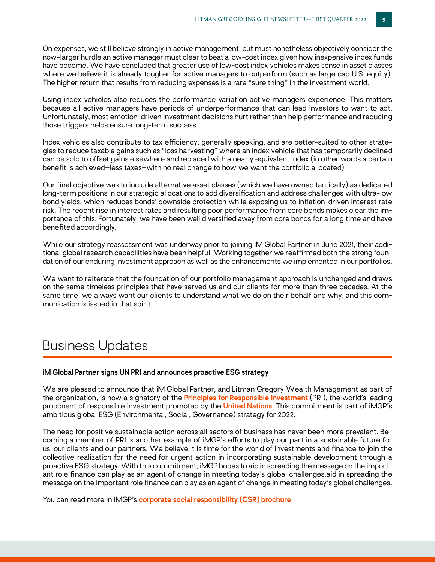On expenses, we still believe strongly in active management, but must nonetheless objectively consider the now-larger hurdle an active manager must clear to beat a low-cost index given how inexpensive index funds have become. We have concluded that greater use of low-cost index vehicles makes sense in asset classes where we believe it is already tougher for active managers to outperform (such as large cap U.S. equity). The higher return that results from reducing expenses is a rare "sure thing" in the investment world.

Using index vehicles also reduces the performance variation active managers experience. This matters because all active managers have periods of underperformance that can lead investors to want to act. Unfortunately, most emotion-driven investment decisions hurt rather than help performance and reducing those triggers helps ensure long-term success.

Index vehicles also contribute to tax efficiency, generally speaking, and are better-suited to other strategies to reduce taxable gains such as "loss harvesting" where an index vehicle that has temporarily declined can be sold to offset gains elsewhere and replaced with a nearly equivalent index (in other words a certain benefit is achieved–less taxes–with no real change to how we want the portfolio allocated).

Our final objective was to include alternative asset classes (which we have owned tactically) as dedicated long-term positions in our strategic allocations to add diversification and address challenges with ultra-low bond yields, which reduces bonds' downside protection while exposing us to inflation-driven interest rate risk. The recent rise in interest rates and resulting poor performance from core bonds makes clear the importance of this. Fortunately, we have been well diversified away from core bonds for a long time and have benefited accordingly.

While our strategy reassessment was underway prior to joining iM Global Partner in June 2021, their additional global research capabilities have been helpful. Working together we reaffirmed both the strong foundation of our enduring investment approach as well as the enhancements we implemented in our portfolios.

We want to reiterate that the foundation of our portfolio management approach is unchanged and draws on the same timeless principles that have served us and our clients for more than three decades. At the same time, we always want our clients to understand what we do on their behalf and why, and this communication is issued in that spirit.

### Business Updates

#### **iM Global Partner signs UN PRI and announces proactive ESG strategy**

We are pleased to announce that iM Global Partner, and Litman Gregory Wealth Management as part of the organization, is now a signatory of the **[Principles for Responsible Investment](https://www.linkedin.com/company/the-pri/)** (PRI), the world's leading proponent of responsible investment promoted by the **[United Nations](https://www.linkedin.com/company/united-nations/)**. This commitment is part of iMGP's ambitious global ESG (Environmental, Social, Governance) strategy for 2022.

The need for positive sustainable action across all sectors of business has never been more prevalent. Becoming a member of PRI is another example of iMGP's efforts to play our part in a sustainable future for us, our clients and our partners. We believe it is time for the world of investments and finance to join the collective realization for the need for urgent action in incorporating sustainable development through a proactive ESG strategy. With this commitment, iMGP hopes to aid in spreading the message on the important role finance can play as an agent of change in meeting today's global challenges.aid in spreading the message on the important role finance can play as an agent of change in meeting today's global challenges.

You can read more in iMGP's **[corporate social responsibility \(CSR\) brochure](https://www.imgp.com/uploads/mediacenter/62320dd604457_CSR%20Report%202021.pdf)**.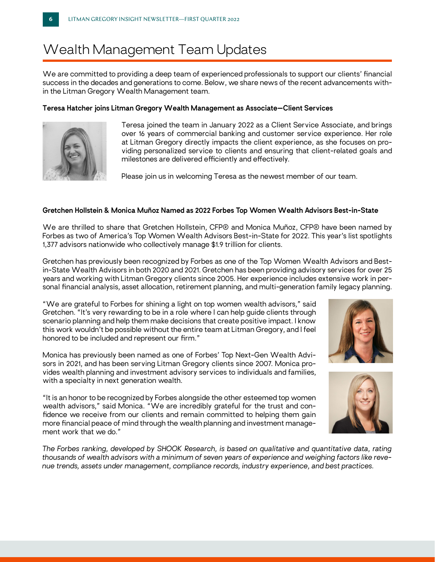# Wealth Management Team Updates

We are committed to providing a deep team of experienced professionals to support our clients' financial success in the decades and generations to come. Below, we share news of the recent advancements within the Litman Gregory Wealth Management team.

#### **Teresa Hatcher joins Litman Gregory Wealth Management as Associate—Client Services**



Teresa joined the team in January 2022 as a Client Service Associate, and brings over 16 years of commercial banking and customer service experience. Her role at Litman Gregory directly impacts the client experience, as she focuses on providing personalized service to clients and ensuring that client-related goals and milestones are delivered efficiently and effectively.

Please join us in welcoming Teresa as the newest member of our team.

#### **Gretchen Hollstein & Monica Muñoz Named as 2022 Forbes Top Women Wealth Advisors Best-in-State**

We are thrilled to share that Gretchen Hollstein, CFP® and Monica Muñoz, CFP® have been named by Forbes as two of America's Top Women Wealth Advisors Best-in-State for 2022. This year's list spotlights 1,377 advisors nationwide who collectively manage \$1.9 trillion for clients.

Gretchen has previously been recognized by Forbes as one of the Top Women Wealth Advisors and Bestin-State Wealth Advisors in both 2020 and 2021. Gretchen has been providing advisory services for over 25 years and working with Litman Gregory clients since 2005. Her experience includes extensive work in personal financial analysis, asset allocation, retirement planning, and multi-generation family legacy planning.

"We are grateful to Forbes for shining a light on top women wealth advisors," said Gretchen. "It's very rewarding to be in a role where I can help guide clients through scenario planning and help them make decisions that create positive impact. I know this work wouldn't be possible without the entire team at Litman Gregory, and I feel honored to be included and represent our firm."

Monica has previously been named as one of Forbes' Top Next-Gen Wealth Advisors in 2021, and has been serving Litman Gregory clients since 2007. Monica provides wealth planning and investment advisory services to individuals and families, with a specialty in next generation wealth.

"It is an honor to be recognized by Forbes alongside the other esteemed top women wealth advisors," said Monica. "We are incredibly grateful for the trust and confidence we receive from our clients and remain committed to helping them gain more financial peace of mind through the wealth planning and investment management work that we do."





*The Forbes ranking, developed by SHOOK Research, is based on qualitative and quantitative data, rating thousands of wealth advisors with a minimum of seven years of experience and weighing factors like revenue trends, assets under management, compliance records, industry experience, and best practices.*